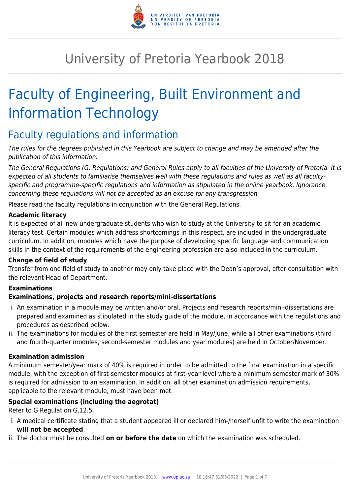

## University of Pretoria Yearbook 2018

# Faculty of Engineering, Built Environment and Information Technology

### Faculty regulations and information

The rules for the degrees published in this Yearbook are subject to change and may be amended after the publication of this information.

The General Regulations (G. Regulations) and General Rules apply to all faculties of the University of Pretoria. It is expected of all students to familiarise themselves well with these regulations and rules as well as all facultyspecific and programme-specific regulations and information as stipulated in the online yearbook. Ignorance concerning these regulations will not be accepted as an excuse for any transgression.

Please read the faculty regulations in conjunction with the General Regulations.

### **Academic literacy**

It is expected of all new undergraduate students who wish to study at the University to sit for an academic literacy test. Certain modules which address shortcomings in this respect, are included in the undergraduate curriculum. In addition, modules which have the purpose of developing specific language and communication skills in the context of the requirements of the engineering profession are also included in the curriculum.

### **Change of field of study**

Transfer from one field of study to another may only take place with the Dean's approval, after consultation with the relevant Head of Department.

### **Examinations**

### **Examinations, projects and research reports/mini-dissertations**

- i. An examination in a module may be written and/or oral. Projects and research reports/mini-dissertations are prepared and examined as stipulated in the study guide of the module, in accordance with the regulations and procedures as described below.
- ii. The examinations for modules of the first semester are held in May/June, while all other examinations (third and fourth-quarter modules, second-semester modules and year modules) are held in October/November.

### **Examination admission**

A minimum semester/year mark of 40% is required in order to be admitted to the final examination in a specific module, with the exception of first-semester modules at first-year level where a minimum semester mark of 30% is required for admission to an examination. In addition, all other examination admission requirements, applicable to the relevant module, must have been met.

### **Special examinations (including the aegrotat)**

### Refer to G Regulation G.12.5.

- i. A medical certificate stating that a student appeared ill or declared him-/herself unfit to write the examination **will not be accepted**.
- ii. The doctor must be consulted **on or before the date** on which the examination was scheduled.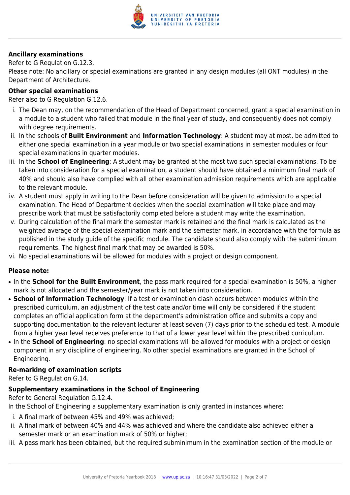

### **Ancillary examinations**

Refer to G Regulation G.12.3.

Please note: No ancillary or special examinations are granted in any design modules (all ONT modules) in the Department of Architecture.

### **Other special examinations**

Refer also to G Regulation G.12.6.

- i. The Dean may, on the recommendation of the Head of Department concerned, grant a special examination in a module to a student who failed that module in the final year of study, and consequently does not comply with degree requirements.
- ii. In the schools of **Built Environment** and **Information Technology**: A student may at most, be admitted to either one special examination in a year module or two special examinations in semester modules or four special examinations in quarter modules.
- iii. In the **School of Engineering**: A student may be granted at the most two such special examinations. To be taken into consideration for a special examination, a student should have obtained a minimum final mark of 40% and should also have complied with all other examination admission requirements which are applicable to the relevant module.
- iv. A student must apply in writing to the Dean before consideration will be given to admission to a special examination. The Head of Department decides when the special examination will take place and may prescribe work that must be satisfactorily completed before a student may write the examination.
- v. During calculation of the final mark the semester mark is retained and the final mark is calculated as the weighted average of the special examination mark and the semester mark, in accordance with the formula as published in the study guide of the specific module. The candidate should also comply with the subminimum requirements. The highest final mark that may be awarded is 50%.
- vi. No special examinations will be allowed for modules with a project or design component.

### **Please note:**

- In the **School for the Built Environment**, the pass mark required for a special examination is 50%, a higher mark is not allocated and the semester/year mark is not taken into consideration.
- **School of Information Technology**: If a test or examination clash occurs between modules within the prescribed curriculum, an adjustment of the test date and/or time will only be considered if the student completes an official application form at the department's administration office and submits a copy and supporting documentation to the relevant lecturer at least seven (7) days prior to the scheduled test. A module from a higher year level receives preference to that of a lower year level within the prescribed curriculum.
- In the **School of Engineering**: no special examinations will be allowed for modules with a project or design component in any discipline of engineering. No other special examinations are granted in the School of Engineering.

### **Re-marking of examination scripts**

Refer to G Regulation G.14.

### **Supplementary examinations in the School of Engineering**

Refer to General Regulation G.12.4.

In the School of Engineering a supplementary examination is only granted in instances where:

- i. A final mark of between 45% and 49% was achieved;
- ii. A final mark of between 40% and 44% was achieved and where the candidate also achieved either a semester mark or an examination mark of 50% or higher;
- iii. A pass mark has been obtained, but the required subminimum in the examination section of the module or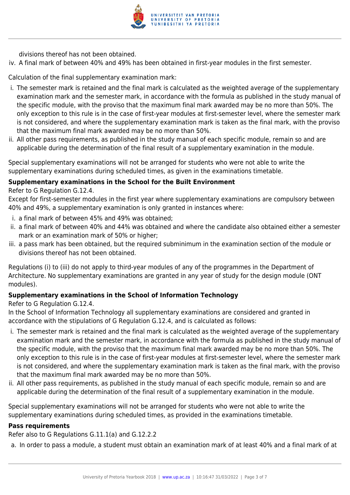

divisions thereof has not been obtained.

iv. A final mark of between 40% and 49% has been obtained in first-year modules in the first semester.

Calculation of the final supplementary examination mark:

- i. The semester mark is retained and the final mark is calculated as the weighted average of the supplementary examination mark and the semester mark, in accordance with the formula as published in the study manual of the specific module, with the proviso that the maximum final mark awarded may be no more than 50%. The only exception to this rule is in the case of first-year modules at first-semester level, where the semester mark is not considered, and where the supplementary examination mark is taken as the final mark, with the proviso that the maximum final mark awarded may be no more than 50%.
- ii. All other pass requirements, as published in the study manual of each specific module, remain so and are applicable during the determination of the final result of a supplementary examination in the module.

Special supplementary examinations will not be arranged for students who were not able to write the supplementary examinations during scheduled times, as given in the examinations timetable.

### **Supplementary examinations in the School for the Built Environment**

Refer to G Regulation G.12.4.

Except for first-semester modules in the first year where supplementary examinations are compulsory between 40% and 49%, a supplementary examination is only granted in instances where:

- i. a final mark of between 45% and 49% was obtained;
- ii. a final mark of between 40% and 44% was obtained and where the candidate also obtained either a semester mark or an examination mark of 50% or higher;
- iii. a pass mark has been obtained, but the required subminimum in the examination section of the module or divisions thereof has not been obtained.

Regulations (i) to (iii) do not apply to third-year modules of any of the programmes in the Department of Architecture. No supplementary examinations are granted in any year of study for the design module (ONT modules).

### **Supplementary examinations in the School of Information Technology**

Refer to G Regulation G.12.4.

In the School of Information Technology all supplementary examinations are considered and granted in accordance with the stipulations of G Regulation G.12.4, and is calculated as follows:

- i. The semester mark is retained and the final mark is calculated as the weighted average of the supplementary examination mark and the semester mark, in accordance with the formula as published in the study manual of the specific module, with the proviso that the maximum final mark awarded may be no more than 50%. The only exception to this rule is in the case of first-year modules at first-semester level, where the semester mark is not considered, and where the supplementary examination mark is taken as the final mark, with the proviso that the maximum final mark awarded may be no more than 50%.
- ii. All other pass requirements, as published in the study manual of each specific module, remain so and are applicable during the determination of the final result of a supplementary examination in the module.

Special supplementary examinations will not be arranged for students who were not able to write the supplementary examinations during scheduled times, as provided in the examinations timetable.

### **Pass requirements**

Refer also to G Regulations G.11.1(a) and G.12.2.2

a. In order to pass a module, a student must obtain an examination mark of at least 40% and a final mark of at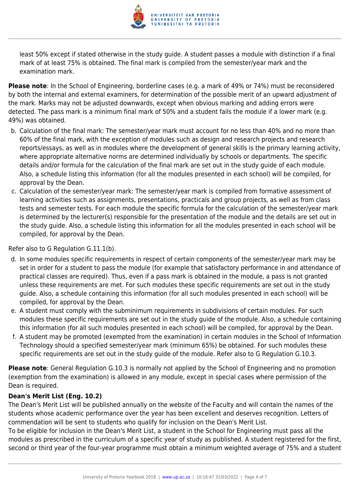

least 50% except if stated otherwise in the study guide. A student passes a module with distinction if a final mark of at least 75% is obtained. The final mark is compiled from the semester/year mark and the examination mark.

**Please note**: In the School of Engineering, borderline cases (e.g. a mark of 49% or 74%) must be reconsidered by both the internal and external examiners, for determination of the possible merit of an upward adjustment of the mark. Marks may not be adjusted downwards, except when obvious marking and adding errors were detected. The pass mark is a minimum final mark of 50% and a student fails the module if a lower mark (e.g. 49%) was obtained.

- b. Calculation of the final mark: The semester/year mark must account for no less than 40% and no more than 60% of the final mark, with the exception of modules such as design and research projects and research reports/essays, as well as in modules where the development of general skills is the primary learning activity, where appropriate alternative norms are determined individually by schools or departments. The specific details and/or formula for the calculation of the final mark are set out in the study guide of each module. Also, a schedule listing this information (for all the modules presented in each school) will be compiled, for approval by the Dean.
- c. Calculation of the semester/year mark: The semester/year mark is compiled from formative assessment of learning activities such as assignments, presentations, practicals and group projects, as well as from class tests and semester tests. For each module the specific formula for the calculation of the semester/year mark is determined by the lecturer(s) responsible for the presentation of the module and the details are set out in the study guide. Also, a schedule listing this information for all the modules presented in each school will be compiled, for approval by the Dean.

Refer also to G Regulation G.11.1(b).

- d. In some modules specific requirements in respect of certain components of the semester/year mark may be set in order for a student to pass the module (for example that satisfactory performance in and attendance of practical classes are required). Thus, even if a pass mark is obtained in the module, a pass is not granted unless these requirements are met. For such modules these specific requirements are set out in the study guide. Also, a schedule containing this information (for all such modules presented in each school) will be compiled, for approval by the Dean.
- e. A student must comply with the subminimum requirements in subdivisions of certain modules. For such modules these specific requirements are set out in the study guide of the module. Also, a schedule containing this information (for all such modules presented in each school) will be compiled, for approval by the Dean.
- f. A student may be promoted (exempted from the examination) in certain modules in the School of Information Technology should a specified semester/year mark (minimum 65%) be obtained. For such modules these specific requirements are set out in the study guide of the module. Refer also to G Regulation G.10.3.

**Please note**: General Regulation G.10.3 is normally not applied by the School of Engineering and no promotion (exemption from the examination) is allowed in any module, except in special cases where permission of the Dean is required.

### **Dean's Merit List (Eng. 10.2)**

The Dean's Merit List will be published annually on the website of the Faculty and will contain the names of the students whose academic performance over the year has been excellent and deserves recognition. Letters of commendation will be sent to students who qualify for inclusion on the Dean's Merit List.

To be eligible for inclusion in the Dean's Merit List, a student in the School for Engineering must pass all the modules as prescribed in the curriculum of a specific year of study as published. A student registered for the first, second or third year of the four-year programme must obtain a minimum weighted average of 75% and a student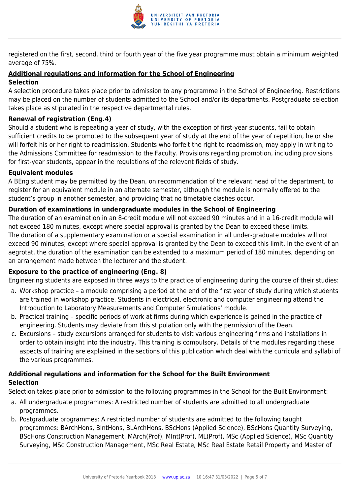

registered on the first, second, third or fourth year of the five year programme must obtain a minimum weighted average of 75%.

### **Additional regulations and information for the School of Engineering**

### **Selection**

A selection procedure takes place prior to admission to any programme in the School of Engineering. Restrictions may be placed on the number of students admitted to the School and/or its departments. Postgraduate selection takes place as stipulated in the respective departmental rules.

### **Renewal of registration (Eng.4)**

Should a student who is repeating a year of study, with the exception of first-year students, fail to obtain sufficient credits to be promoted to the subsequent year of study at the end of the year of repetition, he or she will forfeit his or her right to readmission. Students who forfeit the right to readmission, may apply in writing to the Admissions Committee for readmission to the Faculty. Provisions regarding promotion, including provisions for first-year students, appear in the regulations of the relevant fields of study.

### **Equivalent modules**

A BEng student may be permitted by the Dean, on recommendation of the relevant head of the department, to register for an equivalent module in an alternate semester, although the module is normally offered to the student's group in another semester, and providing that no timetable clashes occur.

### **Duration of examinations in undergraduate modules in the School of Engineering**

The duration of an examination in an 8-credit module will not exceed 90 minutes and in a 16-credit module will not exceed 180 minutes, except where special approval is granted by the Dean to exceed these limits. The duration of a supplementary examination or a special examination in all under-graduate modules will not exceed 90 minutes, except where special approval is granted by the Dean to exceed this limit. In the event of an aegrotat, the duration of the examination can be extended to a maximum period of 180 minutes, depending on an arrangement made between the lecturer and the student.

### **Exposure to the practice of engineering (Eng. 8)**

Engineering students are exposed in three ways to the practice of engineering during the course of their studies:

- a. Workshop practice a module comprising a period at the end of the first year of study during which students are trained in workshop practice. Students in electrical, electronic and computer engineering attend the Introduction to Laboratory Measurements and Computer Simulations' module.
- b. Practical training specific periods of work at firms during which experience is gained in the practice of engineering. Students may deviate from this stipulation only with the permission of the Dean.
- c. Excursions study excursions arranged for students to visit various engineering firms and installations in order to obtain insight into the industry. This training is compulsory. Details of the modules regarding these aspects of training are explained in the sections of this publication which deal with the curricula and syllabi of the various programmes.

### **Additional regulations and information for the School for the Built Environment Selection**

Selection takes place prior to admission to the following programmes in the School for the Built Environment:

- a. All undergraduate programmes: A restricted number of students are admitted to all undergraduate programmes.
- b. Postgraduate programmes: A restricted number of students are admitted to the following taught programmes: BArchHons, BIntHons, BLArchHons, BScHons (Applied Science), BScHons Quantity Surveying, BScHons Construction Management, MArch(Prof), MInt(Prof), ML(Prof), MSc (Applied Science), MSc Quantity Surveying, MSc Construction Management, MSc Real Estate, MSc Real Estate Retail Property and Master of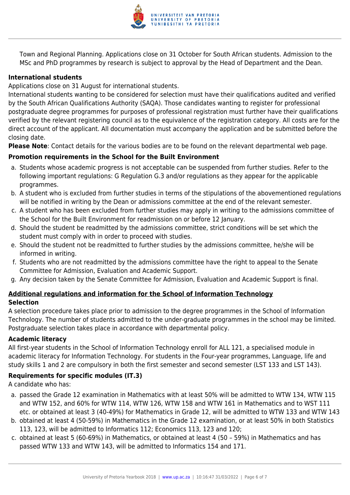

Town and Regional Planning. Applications close on 31 October for South African students. Admission to the MSc and PhD programmes by research is subject to approval by the Head of Department and the Dean.

### **International students**

Applications close on 31 August for international students.

International students wanting to be considered for selection must have their qualifications audited and verified by the South African Qualifications Authority (SAQA). Those candidates wanting to register for professional postgraduate degree programmes for purposes of professional registration must further have their qualifications verified by the relevant registering council as to the equivalence of the registration category. All costs are for the direct account of the applicant. All documentation must accompany the application and be submitted before the closing date.

**Please Note**: Contact details for the various bodies are to be found on the relevant departmental web page.

### **Promotion requirements in the School for the Built Environment**

- a. Students whose academic progress is not acceptable can be suspended from further studies. Refer to the following important regulations: G Regulation G.3 and/or regulations as they appear for the applicable programmes.
- b. A student who is excluded from further studies in terms of the stipulations of the abovementioned regulations will be notified in writing by the Dean or admissions committee at the end of the relevant semester.
- c. A student who has been excluded from further studies may apply in writing to the admissions committee of the School for the Built Environment for readmission on or before 12 January.
- d. Should the student be readmitted by the admissions committee, strict conditions will be set which the student must comply with in order to proceed with studies.
- e. Should the student not be readmitted to further studies by the admissions committee, he/she will be informed in writing.
- f. Students who are not readmitted by the admissions committee have the right to appeal to the Senate Committee for Admission, Evaluation and Academic Support.
- g. Any decision taken by the Senate Committee for Admission, Evaluation and Academic Support is final.

### **Additional regulations and information for the School of Information Technology Selection**

A selection procedure takes place prior to admission to the degree programmes in the School of Information Technology. The number of students admitted to the under-graduate programmes in the school may be limited. Postgraduate selection takes place in accordance with departmental policy.

### **Academic literacy**

All first-year students in the School of Information Technology enroll for ALL 121, a specialised module in academic literacy for Information Technology. For students in the Four-year programmes, Language, life and study skills 1 and 2 are compulsory in both the first semester and second semester (LST 133 and LST 143).

### **Requirements for specific modules (IT.3)**

A candidate who has:

- a. passed the Grade 12 examination in Mathematics with at least 50% will be admitted to WTW 134, WTW 115 and WTW 152, and 60% for WTW 114, WTW 126, WTW 158 and WTW 161 in Mathematics and to WST 111 etc. or obtained at least 3 (40-49%) for Mathematics in Grade 12, will be admitted to WTW 133 and WTW 143
- b. obtained at least 4 (50-59%) in Mathematics in the Grade 12 examination, or at least 50% in both Statistics 113, 123, will be admitted to Informatics 112; Economics 113, 123 and 120;
- c. obtained at least 5 (60-69%) in Mathematics, or obtained at least 4 (50 59%) in Mathematics and has passed WTW 133 and WTW 143, will be admitted to Informatics 154 and 171.